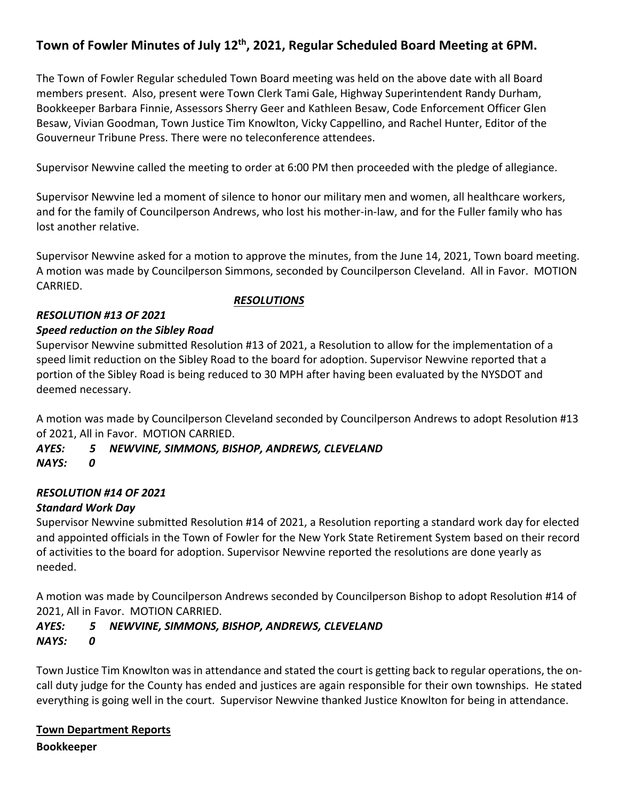# **Town of Fowler Minutes of July 12th, 2021, Regular Scheduled Board Meeting at 6PM.**

The Town of Fowler Regular scheduled Town Board meeting was held on the above date with all Board members present. Also, present were Town Clerk Tami Gale, Highway Superintendent Randy Durham, Bookkeeper Barbara Finnie, Assessors Sherry Geer and Kathleen Besaw, Code Enforcement Officer Glen Besaw, Vivian Goodman, Town Justice Tim Knowlton, Vicky Cappellino, and Rachel Hunter, Editor of the Gouverneur Tribune Press. There were no teleconference attendees.

Supervisor Newvine called the meeting to order at 6:00 PM then proceeded with the pledge of allegiance.

Supervisor Newvine led a moment of silence to honor our military men and women, all healthcare workers, and for the family of Councilperson Andrews, who lost his mother-in-law, and for the Fuller family who has lost another relative.

Supervisor Newvine asked for a motion to approve the minutes, from the June 14, 2021, Town board meeting. A motion was made by Councilperson Simmons, seconded by Councilperson Cleveland. All in Favor. MOTION CARRIED.

#### *RESOLUTION #13 OF 2021*

#### *Speed reduction on the Sibley Road*

Supervisor Newvine submitted Resolution #13 of 2021, a Resolution to allow for the implementation of a speed limit reduction on the Sibley Road to the board for adoption. Supervisor Newvine reported that a portion of the Sibley Road is being reduced to 30 MPH after having been evaluated by the NYSDOT and deemed necessary.

 *RESOLUTIONS*

A motion was made by Councilperson Cleveland seconded by Councilperson Andrews to adopt Resolution #13 of 2021, All in Favor. MOTION CARRIED.

# *AYES: 5 NEWVINE, SIMMONS, BISHOP, ANDREWS, CLEVELAND*

*NAYS: 0*

# *RESOLUTION #14 OF 2021*

#### *Standard Work Day*

Supervisor Newvine submitted Resolution #14 of 2021, a Resolution reporting a standard work day for elected and appointed officials in the Town of Fowler for the New York State Retirement System based on their record of activities to the board for adoption. Supervisor Newvine reported the resolutions are done yearly as needed.

A motion was made by Councilperson Andrews seconded by Councilperson Bishop to adopt Resolution #14 of 2021, All in Favor. MOTION CARRIED.

#### *AYES: 5 NEWVINE, SIMMONS, BISHOP, ANDREWS, CLEVELAND NAYS: 0*

Town Justice Tim Knowlton was in attendance and stated the court is getting back to regular operations, the oncall duty judge for the County has ended and justices are again responsible for their own townships. He stated everything is going well in the court. Supervisor Newvine thanked Justice Knowlton for being in attendance.

# **Town Department Reports**

**Bookkeeper**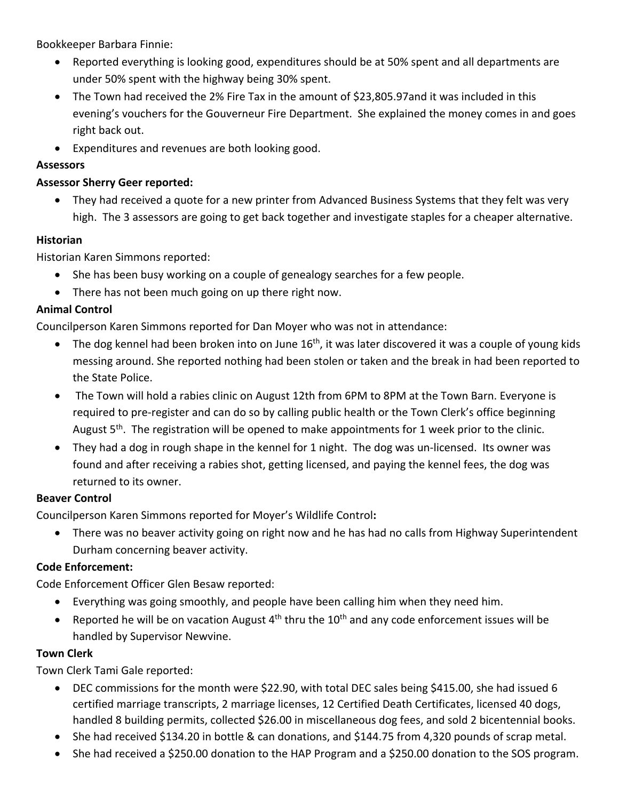Bookkeeper Barbara Finnie:

- Reported everything is looking good, expenditures should be at 50% spent and all departments are under 50% spent with the highway being 30% spent.
- The Town had received the 2% Fire Tax in the amount of \$23,805.97and it was included in this evening's vouchers for the Gouverneur Fire Department. She explained the money comes in and goes right back out.
- Expenditures and revenues are both looking good.

#### **Assessors**

#### **Assessor Sherry Geer reported:**

• They had received a quote for a new printer from Advanced Business Systems that they felt was very high. The 3 assessors are going to get back together and investigate staples for a cheaper alternative.

#### **Historian**

Historian Karen Simmons reported:

- She has been busy working on a couple of genealogy searches for a few people.
- There has not been much going on up there right now.

#### **Animal Control**

Councilperson Karen Simmons reported for Dan Moyer who was not in attendance:

- The dog kennel had been broken into on June 16<sup>th</sup>, it was later discovered it was a couple of young kids messing around. She reported nothing had been stolen or taken and the break in had been reported to the State Police.
- The Town will hold a rabies clinic on August 12th from 6PM to 8PM at the Town Barn. Everyone is required to pre-register and can do so by calling public health or the Town Clerk's office beginning August  $5<sup>th</sup>$ . The registration will be opened to make appointments for 1 week prior to the clinic.
- They had a dog in rough shape in the kennel for 1 night. The dog was un-licensed. Its owner was found and after receiving a rabies shot, getting licensed, and paying the kennel fees, the dog was returned to its owner.

#### **Beaver Control**

Councilperson Karen Simmons reported for Moyer's Wildlife Control**:**

• There was no beaver activity going on right now and he has had no calls from Highway Superintendent Durham concerning beaver activity.

#### **Code Enforcement:**

Code Enforcement Officer Glen Besaw reported:

- Everything was going smoothly, and people have been calling him when they need him.
- Reported he will be on vacation August  $4<sup>th</sup>$  thru the  $10<sup>th</sup>$  and any code enforcement issues will be handled by Supervisor Newvine.

#### **Town Clerk**

Town Clerk Tami Gale reported:

- DEC commissions for the month were \$22.90, with total DEC sales being \$415.00, she had issued 6 certified marriage transcripts, 2 marriage licenses, 12 Certified Death Certificates, licensed 40 dogs, handled 8 building permits, collected \$26.00 in miscellaneous dog fees, and sold 2 bicentennial books.
- She had received \$134.20 in bottle & can donations, and \$144.75 from 4,320 pounds of scrap metal.
- She had received a \$250.00 donation to the HAP Program and a \$250.00 donation to the SOS program.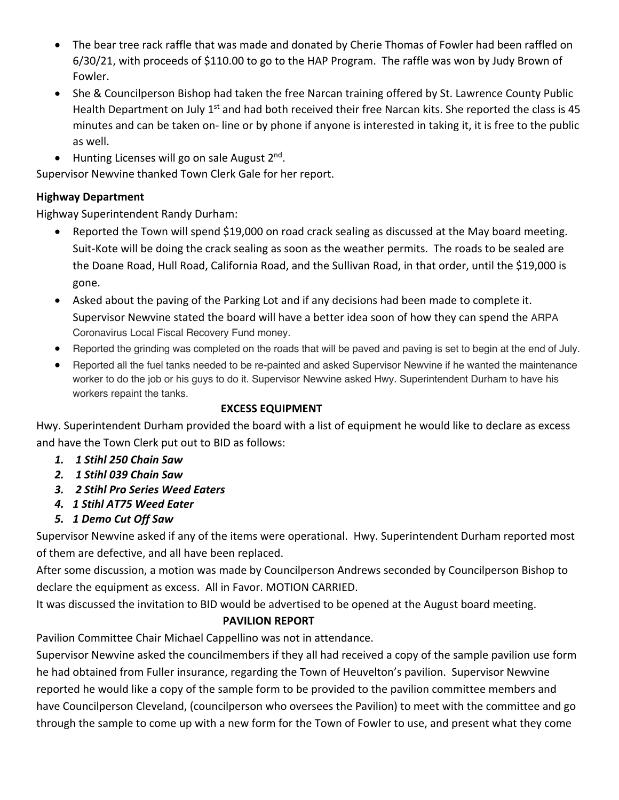- The bear tree rack raffle that was made and donated by Cherie Thomas of Fowler had been raffled on 6/30/21, with proceeds of \$110.00 to go to the HAP Program. The raffle was won by Judy Brown of Fowler.
- She & Councilperson Bishop had taken the free Narcan training offered by St. Lawrence County Public Health Department on July  $1<sup>st</sup>$  and had both received their free Narcan kits. She reported the class is 45 minutes and can be taken on- line or by phone if anyone is interested in taking it, it is free to the public as well.
- Hunting Licenses will go on sale August  $2^{nd}$ .

Supervisor Newvine thanked Town Clerk Gale for her report.

#### **Highway Department**

Highway Superintendent Randy Durham:

- Reported the Town will spend \$19,000 on road crack sealing as discussed at the May board meeting. Suit-Kote will be doing the crack sealing as soon as the weather permits. The roads to be sealed are the Doane Road, Hull Road, California Road, and the Sullivan Road, in that order, until the \$19,000 is gone.
- Asked about the paving of the Parking Lot and if any decisions had been made to complete it. Supervisor Newvine stated the board will have a better idea soon of how they can spend the ARPA Coronavirus Local Fiscal Recovery Fund money.
- Reported the grinding was completed on the roads that will be paved and paving is set to begin at the end of July.
- Reported all the fuel tanks needed to be re-painted and asked Supervisor Newvine if he wanted the maintenance worker to do the job or his guys to do it. Supervisor Newvine asked Hwy. Superintendent Durham to have his workers repaint the tanks.

#### **EXCESS EQUIPMENT**

Hwy. Superintendent Durham provided the board with a list of equipment he would like to declare as excess and have the Town Clerk put out to BID as follows:

- *1. 1 Stihl 250 Chain Saw*
- *2. 1 Stihl 039 Chain Saw*
- *3. 2 Stihl Pro Series Weed Eaters*
- *4. 1 Stihl AT75 Weed Eater*
- *5. 1 Demo Cut Off Saw*

Supervisor Newvine asked if any of the items were operational. Hwy. Superintendent Durham reported most of them are defective, and all have been replaced.

After some discussion, a motion was made by Councilperson Andrews seconded by Councilperson Bishop to declare the equipment as excess. All in Favor. MOTION CARRIED.

It was discussed the invitation to BID would be advertised to be opened at the August board meeting.

#### **PAVILION REPORT**

Pavilion Committee Chair Michael Cappellino was not in attendance.

Supervisor Newvine asked the councilmembers if they all had received a copy of the sample pavilion use form he had obtained from Fuller insurance, regarding the Town of Heuvelton's pavilion. Supervisor Newvine reported he would like a copy of the sample form to be provided to the pavilion committee members and have Councilperson Cleveland, (councilperson who oversees the Pavilion) to meet with the committee and go through the sample to come up with a new form for the Town of Fowler to use, and present what they come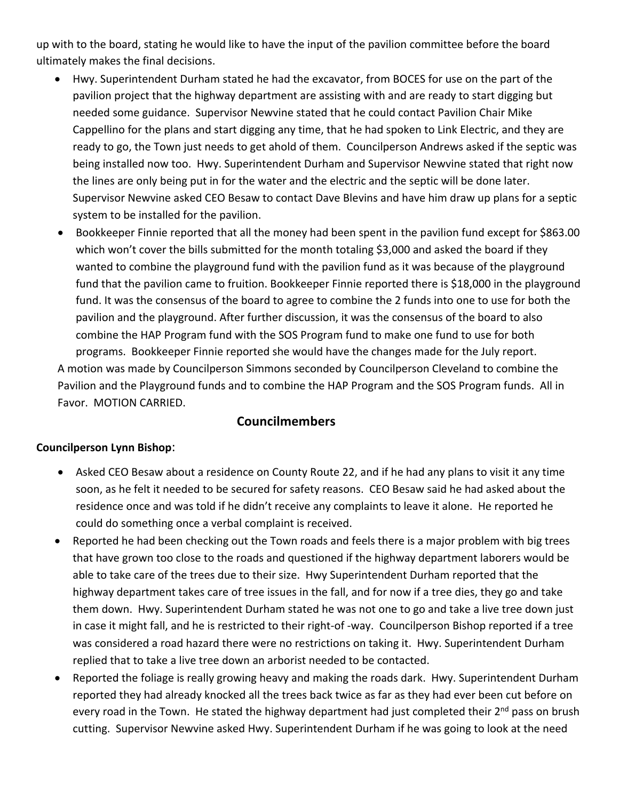up with to the board, stating he would like to have the input of the pavilion committee before the board ultimately makes the final decisions.

- Hwy. Superintendent Durham stated he had the excavator, from BOCES for use on the part of the pavilion project that the highway department are assisting with and are ready to start digging but needed some guidance. Supervisor Newvine stated that he could contact Pavilion Chair Mike Cappellino for the plans and start digging any time, that he had spoken to Link Electric, and they are ready to go, the Town just needs to get ahold of them. Councilperson Andrews asked if the septic was being installed now too. Hwy. Superintendent Durham and Supervisor Newvine stated that right now the lines are only being put in for the water and the electric and the septic will be done later. Supervisor Newvine asked CEO Besaw to contact Dave Blevins and have him draw up plans for a septic system to be installed for the pavilion.
- Bookkeeper Finnie reported that all the money had been spent in the pavilion fund except for \$863.00 which won't cover the bills submitted for the month totaling \$3,000 and asked the board if they wanted to combine the playground fund with the pavilion fund as it was because of the playground fund that the pavilion came to fruition. Bookkeeper Finnie reported there is \$18,000 in the playground fund. It was the consensus of the board to agree to combine the 2 funds into one to use for both the pavilion and the playground. After further discussion, it was the consensus of the board to also combine the HAP Program fund with the SOS Program fund to make one fund to use for both programs. Bookkeeper Finnie reported she would have the changes made for the July report. A motion was made by Councilperson Simmons seconded by Councilperson Cleveland to combine the Pavilion and the Playground funds and to combine the HAP Program and the SOS Program funds. All in Favor. MOTION CARRIED.

# **Councilmembers**

#### **Councilperson Lynn Bishop**:

- Asked CEO Besaw about a residence on County Route 22, and if he had any plans to visit it any time soon, as he felt it needed to be secured for safety reasons. CEO Besaw said he had asked about the residence once and was told if he didn't receive any complaints to leave it alone. He reported he could do something once a verbal complaint is received.
- Reported he had been checking out the Town roads and feels there is a major problem with big trees that have grown too close to the roads and questioned if the highway department laborers would be able to take care of the trees due to their size. Hwy Superintendent Durham reported that the highway department takes care of tree issues in the fall, and for now if a tree dies, they go and take them down. Hwy. Superintendent Durham stated he was not one to go and take a live tree down just in case it might fall, and he is restricted to their right-of -way. Councilperson Bishop reported if a tree was considered a road hazard there were no restrictions on taking it. Hwy. Superintendent Durham replied that to take a live tree down an arborist needed to be contacted.
- Reported the foliage is really growing heavy and making the roads dark. Hwy. Superintendent Durham reported they had already knocked all the trees back twice as far as they had ever been cut before on every road in the Town. He stated the highway department had just completed their 2<sup>nd</sup> pass on brush cutting. Supervisor Newvine asked Hwy. Superintendent Durham if he was going to look at the need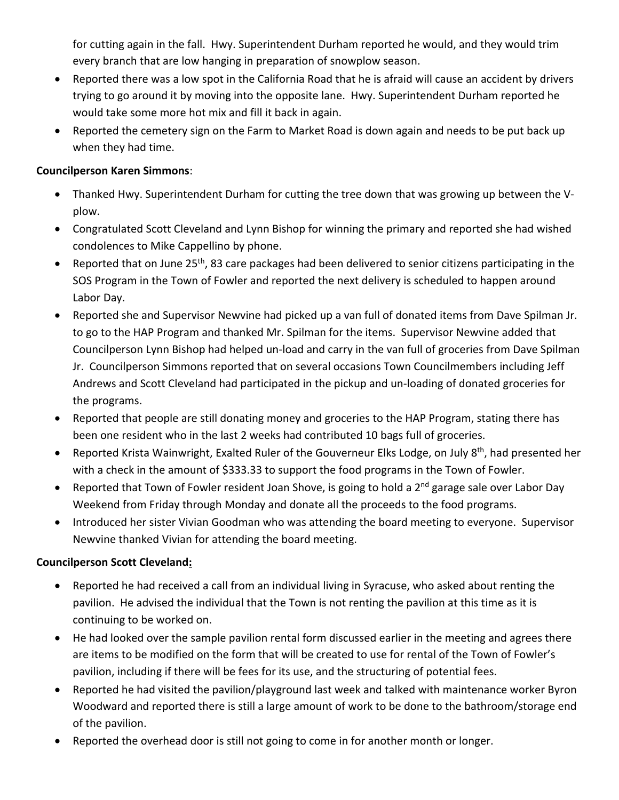for cutting again in the fall. Hwy. Superintendent Durham reported he would, and they would trim every branch that are low hanging in preparation of snowplow season.

- Reported there was a low spot in the California Road that he is afraid will cause an accident by drivers trying to go around it by moving into the opposite lane. Hwy. Superintendent Durham reported he would take some more hot mix and fill it back in again.
- Reported the cemetery sign on the Farm to Market Road is down again and needs to be put back up when they had time.

#### **Councilperson Karen Simmons**:

- Thanked Hwy. Superintendent Durham for cutting the tree down that was growing up between the Vplow.
- Congratulated Scott Cleveland and Lynn Bishop for winning the primary and reported she had wished condolences to Mike Cappellino by phone.
- Reported that on June 25<sup>th</sup>, 83 care packages had been delivered to senior citizens participating in the SOS Program in the Town of Fowler and reported the next delivery is scheduled to happen around Labor Day.
- Reported she and Supervisor Newvine had picked up a van full of donated items from Dave Spilman Jr. to go to the HAP Program and thanked Mr. Spilman for the items. Supervisor Newvine added that Councilperson Lynn Bishop had helped un-load and carry in the van full of groceries from Dave Spilman Jr. Councilperson Simmons reported that on several occasions Town Councilmembers including Jeff Andrews and Scott Cleveland had participated in the pickup and un-loading of donated groceries for the programs.
- Reported that people are still donating money and groceries to the HAP Program, stating there has been one resident who in the last 2 weeks had contributed 10 bags full of groceries.
- Reported Krista Wainwright, Exalted Ruler of the Gouverneur Elks Lodge, on July 8<sup>th</sup>, had presented her with a check in the amount of \$333.33 to support the food programs in the Town of Fowler.
- Reported that Town of Fowler resident Joan Shove, is going to hold a 2<sup>nd</sup> garage sale over Labor Day Weekend from Friday through Monday and donate all the proceeds to the food programs.
- Introduced her sister Vivian Goodman who was attending the board meeting to everyone. Supervisor Newvine thanked Vivian for attending the board meeting.

# **Councilperson Scott Cleveland:**

- Reported he had received a call from an individual living in Syracuse, who asked about renting the pavilion. He advised the individual that the Town is not renting the pavilion at this time as it is continuing to be worked on.
- He had looked over the sample pavilion rental form discussed earlier in the meeting and agrees there are items to be modified on the form that will be created to use for rental of the Town of Fowler's pavilion, including if there will be fees for its use, and the structuring of potential fees.
- Reported he had visited the pavilion/playground last week and talked with maintenance worker Byron Woodward and reported there is still a large amount of work to be done to the bathroom/storage end of the pavilion.
- Reported the overhead door is still not going to come in for another month or longer.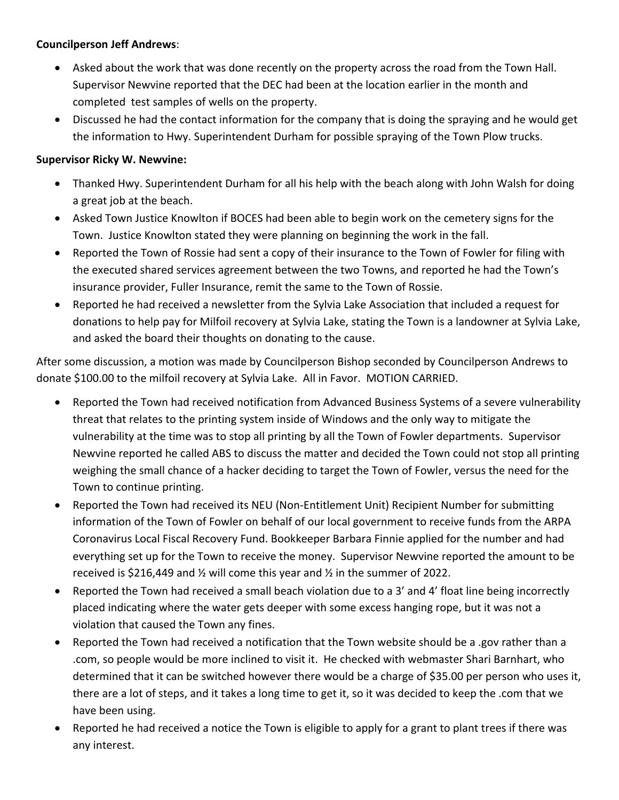#### **Councilperson Jeff Andrews**:

- Asked about the work that was done recently on the property across the road from the Town Hall. Supervisor Newvine reported that the DEC had been at the location earlier in the month and completed test samples of wells on the property.
- Discussed he had the contact information for the company that is doing the spraying and he would get the information to Hwy. Superintendent Durham for possible spraying of the Town Plow trucks.

#### **Supervisor Ricky W. Newvine:**

- Thanked Hwy. Superintendent Durham for all his help with the beach along with John Walsh for doing a great job at the beach.
- Asked Town Justice Knowlton if BOCES had been able to begin work on the cemetery signs for the Town. Justice Knowlton stated they were planning on beginning the work in the fall.
- Reported the Town of Rossie had sent a copy of their insurance to the Town of Fowler for filing with the executed shared services agreement between the two Towns, and reported he had the Town's insurance provider, Fuller Insurance, remit the same to the Town of Rossie.
- Reported he had received a newsletter from the Sylvia Lake Association that included a request for donations to help pay for Milfoil recovery at Sylvia Lake, stating the Town is a landowner at Sylvia Lake, and asked the board their thoughts on donating to the cause.

After some discussion, a motion was made by Councilperson Bishop seconded by Councilperson Andrews to donate \$100.00 to the milfoil recovery at Sylvia Lake. All in Favor. MOTION CARRIED.

- Reported the Town had received notification from Advanced Business Systems of a severe vulnerability threat that relates to the printing system inside of Windows and the only way to mitigate the vulnerability at the time was to stop all printing by all the Town of Fowler departments. Supervisor Newvine reported he called ABS to discuss the matter and decided the Town could not stop all printing weighing the small chance of a hacker deciding to target the Town of Fowler, versus the need for the Town to continue printing.
- Reported the Town had received its NEU (Non-Entitlement Unit) Recipient Number for submitting information of the Town of Fowler on behalf of our local government to receive funds from the ARPA Coronavirus Local Fiscal Recovery Fund. Bookkeeper Barbara Finnie applied for the number and had everything set up for the Town to receive the money. Supervisor Newvine reported the amount to be received is \$216,449 and ½ will come this year and ½ in the summer of 2022.
- Reported the Town had received a small beach violation due to a 3' and 4' float line being incorrectly placed indicating where the water gets deeper with some excess hanging rope, but it was not a violation that caused the Town any fines.
- Reported the Town had received a notification that the Town website should be a .gov rather than a .com, so people would be more inclined to visit it. He checked with webmaster Shari Barnhart, who determined that it can be switched however there would be a charge of \$35.00 per person who uses it, there are a lot of steps, and it takes a long time to get it, so it was decided to keep the .com that we have been using.
- Reported he had received a notice the Town is eligible to apply for a grant to plant trees if there was any interest.